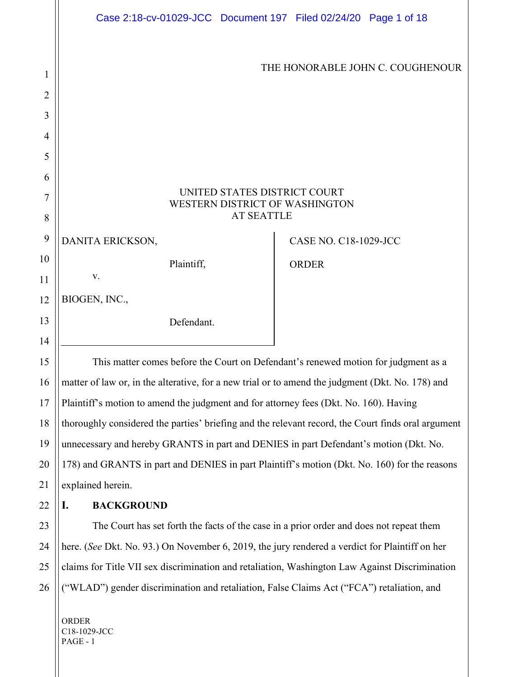|                | Case 2:18-cv-01029-JCC Document 197 Filed 02/24/20 Page 1 of 18                                    |                              |                                  |  |  |
|----------------|----------------------------------------------------------------------------------------------------|------------------------------|----------------------------------|--|--|
|                |                                                                                                    |                              | THE HONORABLE JOHN C. COUGHENOUR |  |  |
| 1              |                                                                                                    |                              |                                  |  |  |
| $\overline{2}$ |                                                                                                    |                              |                                  |  |  |
| 3              |                                                                                                    |                              |                                  |  |  |
| $\overline{4}$ |                                                                                                    |                              |                                  |  |  |
| 5              |                                                                                                    |                              |                                  |  |  |
| 6              |                                                                                                    |                              |                                  |  |  |
| 7              | UNITED STATES DISTRICT COURT<br>WESTERN DISTRICT OF WASHINGTON                                     |                              |                                  |  |  |
| 8              | <b>AT SEATTLE</b>                                                                                  |                              |                                  |  |  |
| 9              | DANITA ERICKSON,                                                                                   | <b>CASE NO. C18-1029-JCC</b> |                                  |  |  |
| 10             | Plaintiff,                                                                                         | <b>ORDER</b>                 |                                  |  |  |
| 11             | ${\bf V}.$                                                                                         |                              |                                  |  |  |
| 12             | BIOGEN, INC.,                                                                                      |                              |                                  |  |  |
| 13             | Defendant.                                                                                         |                              |                                  |  |  |
| 14             |                                                                                                    |                              |                                  |  |  |
| 15             | This matter comes before the Court on Defendant's renewed motion for judgment as a                 |                              |                                  |  |  |
| 16             | matter of law or, in the alterative, for a new trial or to amend the judgment (Dkt. No. 178) and   |                              |                                  |  |  |
| 17             | Plaintiff's motion to amend the judgment and for attorney fees (Dkt. No. 160). Having              |                              |                                  |  |  |
| 18             | thoroughly considered the parties' briefing and the relevant record, the Court finds oral argument |                              |                                  |  |  |
| 19             | unnecessary and hereby GRANTS in part and DENIES in part Defendant's motion (Dkt. No.              |                              |                                  |  |  |
| 20             | 178) and GRANTS in part and DENIES in part Plaintiff's motion (Dkt. No. 160) for the reasons       |                              |                                  |  |  |

21 explained herein.

22

23

24

25

26

# **I. BACKGROUND**

The Court has set forth the facts of the case in a prior order and does not repeat them here. (*See* Dkt. No. 93.) On November 6, 2019, the jury rendered a verdict for Plaintiff on her claims for Title VII sex discrimination and retaliation, Washington Law Against Discrimination ("WLAD") gender discrimination and retaliation, False Claims Act ("FCA") retaliation, and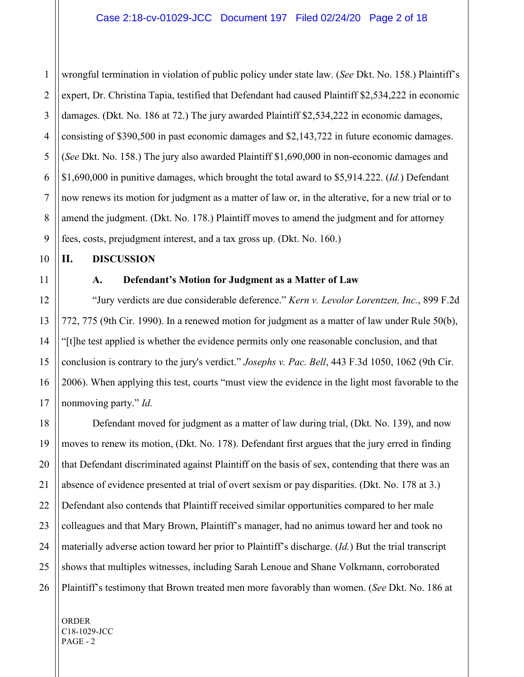1 2 3 4 5 6 wrongful termination in violation of public policy under state law. (*See* Dkt. No. 158.) Plaintiff's expert, Dr. Christina Tapia, testified that Defendant had caused Plaintiff \$2,534,222 in economic damages. (Dkt. No. 186 at 72.) The jury awarded Plaintiff \$2,534,222 in economic damages, consisting of \$390,500 in past economic damages and \$2,143,722 in future economic damages. (*See* Dkt. No. 158.) The jury also awarded Plaintiff \$1,690,000 in non-economic damages and \$1,690,000 in punitive damages, which brought the total award to \$5,914.222. (*Id.*) Defendant now renews its motion for judgment as a matter of law or, in the alterative, for a new trial or to amend the judgment. (Dkt. No. 178.) Plaintiff moves to amend the judgment and for attorney fees, costs, prejudgment interest, and a tax gross up. (Dkt. No. 160.)

#### **II. DISCUSSION**

#### **A. Defendant's Motion for Judgment as a Matter of Law**

"Jury verdicts are due considerable deference." *Kern v. Levolor Lorentzen, Inc.*, 899 F.2d 772, 775 (9th Cir. 1990). In a renewed motion for judgment as a matter of law under Rule 50(b), "[t]he test applied is whether the evidence permits only one reasonable conclusion, and that conclusion is contrary to the jury's verdict." *Josephs v. Pac. Bell*, 443 F.3d 1050, 1062 (9th Cir. 2006). When applying this test, courts "must view the evidence in the light most favorable to the nonmoving party." *Id.*

Defendant moved for judgment as a matter of law during trial, (Dkt. No. 139), and now moves to renew its motion, (Dkt. No. 178). Defendant first argues that the jury erred in finding that Defendant discriminated against Plaintiff on the basis of sex, contending that there was an absence of evidence presented at trial of overt sexism or pay disparities. (Dkt. No. 178 at 3.) Defendant also contends that Plaintiff received similar opportunities compared to her male colleagues and that Mary Brown, Plaintiff's manager, had no animus toward her and took no materially adverse action toward her prior to Plaintiff's discharge. (*Id.*) But the trial transcript shows that multiples witnesses, including Sarah Lenoue and Shane Volkmann, corroborated Plaintiff's testimony that Brown treated men more favorably than women. (*See* Dkt. No. 186 at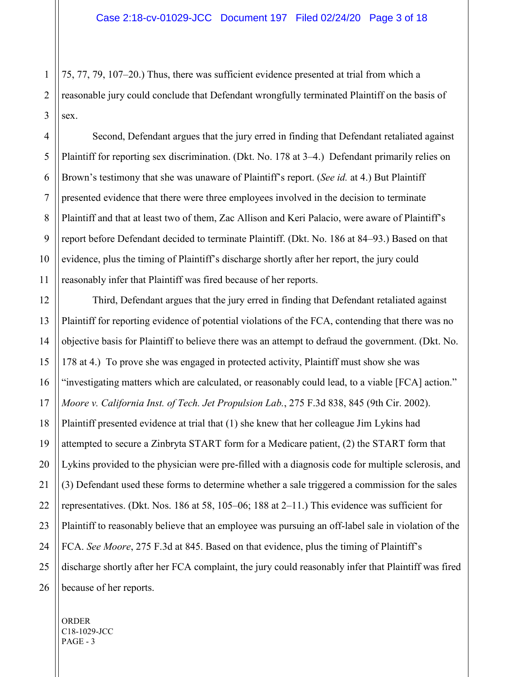1 2 3 75, 77, 79, 107–20.) Thus, there was sufficient evidence presented at trial from which a reasonable jury could conclude that Defendant wrongfully terminated Plaintiff on the basis of sex.

4 5 6 7 8 9 10 11 Second, Defendant argues that the jury erred in finding that Defendant retaliated against Plaintiff for reporting sex discrimination. (Dkt. No. 178 at 3–4.) Defendant primarily relies on Brown's testimony that she was unaware of Plaintiff's report. (*See id.* at 4.) But Plaintiff presented evidence that there were three employees involved in the decision to terminate Plaintiff and that at least two of them, Zac Allison and Keri Palacio, were aware of Plaintiff's report before Defendant decided to terminate Plaintiff. (Dkt. No. 186 at 84–93.) Based on that evidence, plus the timing of Plaintiff's discharge shortly after her report, the jury could reasonably infer that Plaintiff was fired because of her reports.

12 13 14 15 16 18 19 20 22 23 24 25 26 Third, Defendant argues that the jury erred in finding that Defendant retaliated against Plaintiff for reporting evidence of potential violations of the FCA, contending that there was no objective basis for Plaintiff to believe there was an attempt to defraud the government. (Dkt. No. 178 at 4.) To prove she was engaged in protected activity, Plaintiff must show she was "investigating matters which are calculated, or reasonably could lead, to a viable [FCA] action." *Moore v. California Inst. of Tech. Jet Propulsion Lab.*, 275 F.3d 838, 845 (9th Cir. 2002). Plaintiff presented evidence at trial that (1) she knew that her colleague Jim Lykins had attempted to secure a Zinbryta START form for a Medicare patient, (2) the START form that Lykins provided to the physician were pre-filled with a diagnosis code for multiple sclerosis, and (3) Defendant used these forms to determine whether a sale triggered a commission for the sales representatives. (Dkt. Nos. 186 at 58, 105–06; 188 at 2–11.) This evidence was sufficient for Plaintiff to reasonably believe that an employee was pursuing an off-label sale in violation of the FCA. *See Moore*, 275 F.3d at 845. Based on that evidence, plus the timing of Plaintiff's discharge shortly after her FCA complaint, the jury could reasonably infer that Plaintiff was fired because of her reports.

17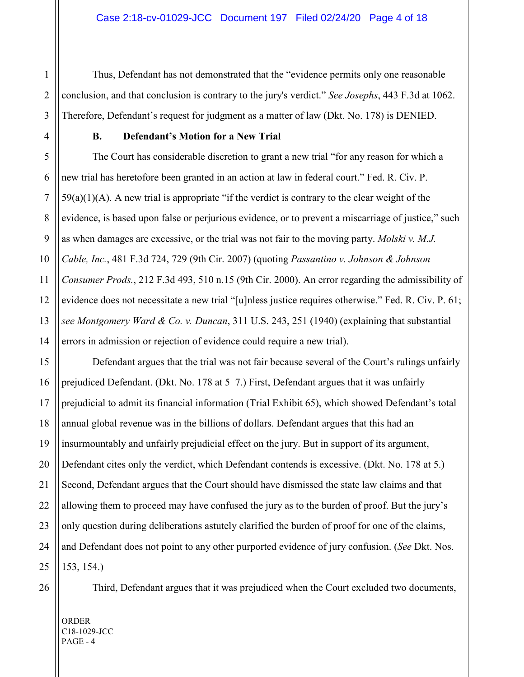Thus, Defendant has not demonstrated that the "evidence permits only one reasonable conclusion, and that conclusion is contrary to the jury's verdict." *See Josephs*, 443 F.3d at 1062. Therefore, Defendant's request for judgment as a matter of law (Dkt. No. 178) is DENIED.

#### **B. Defendant's Motion for a New Trial**

The Court has considerable discretion to grant a new trial "for any reason for which a new trial has heretofore been granted in an action at law in federal court." Fed. R. Civ. P.  $59(a)(1)(A)$ . A new trial is appropriate "if the verdict is contrary to the clear weight of the evidence, is based upon false or perjurious evidence, or to prevent a miscarriage of justice," such as when damages are excessive, or the trial was not fair to the moving party. *Molski v. M.J. Cable, Inc.*, 481 F.3d 724, 729 (9th Cir. 2007) (quoting *Passantino v. Johnson & Johnson Consumer Prods.*, 212 F.3d 493, 510 n.15 (9th Cir. 2000). An error regarding the admissibility of evidence does not necessitate a new trial "[u]nless justice requires otherwise." Fed. R. Civ. P. 61; *see Montgomery Ward & Co. v. Duncan*, 311 U.S. 243, 251 (1940) (explaining that substantial errors in admission or rejection of evidence could require a new trial).

Defendant argues that the trial was not fair because several of the Court's rulings unfairly prejudiced Defendant. (Dkt. No. 178 at 5–7.) First, Defendant argues that it was unfairly prejudicial to admit its financial information (Trial Exhibit 65), which showed Defendant's total annual global revenue was in the billions of dollars. Defendant argues that this had an insurmountably and unfairly prejudicial effect on the jury. But in support of its argument, Defendant cites only the verdict, which Defendant contends is excessive. (Dkt. No. 178 at 5.) Second, Defendant argues that the Court should have dismissed the state law claims and that allowing them to proceed may have confused the jury as to the burden of proof. But the jury's only question during deliberations astutely clarified the burden of proof for one of the claims, and Defendant does not point to any other purported evidence of jury confusion. (*See* Dkt. Nos. 153, 154.)

Third, Defendant argues that it was prejudiced when the Court excluded two documents,

ORDER C18-1029-JCC PAGE - 4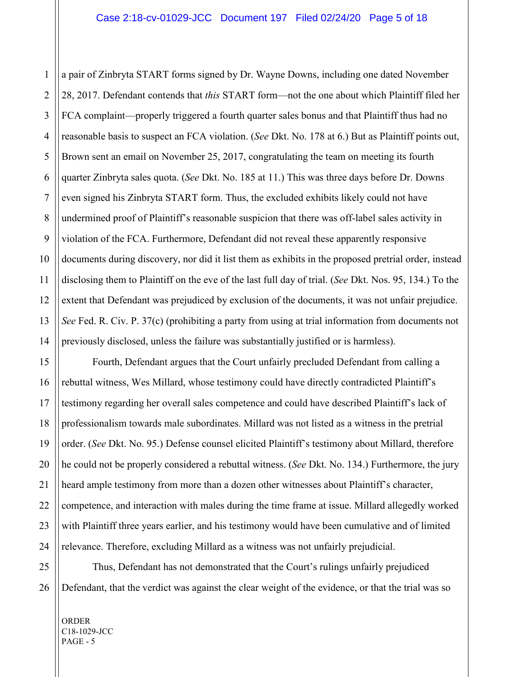1 a pair of Zinbryta START forms signed by Dr. Wayne Downs, including one dated November 28, 2017. Defendant contends that *this* START form—not the one about which Plaintiff filed her FCA complaint—properly triggered a fourth quarter sales bonus and that Plaintiff thus had no reasonable basis to suspect an FCA violation. (*See* Dkt. No. 178 at 6.) But as Plaintiff points out, Brown sent an email on November 25, 2017, congratulating the team on meeting its fourth quarter Zinbryta sales quota. (*See* Dkt. No. 185 at 11.) This was three days before Dr. Downs even signed his Zinbryta START form. Thus, the excluded exhibits likely could not have undermined proof of Plaintiff's reasonable suspicion that there was off-label sales activity in violation of the FCA. Furthermore, Defendant did not reveal these apparently responsive documents during discovery, nor did it list them as exhibits in the proposed pretrial order, instead disclosing them to Plaintiff on the eve of the last full day of trial. (*See* Dkt. Nos. 95, 134.) To the extent that Defendant was prejudiced by exclusion of the documents, it was not unfair prejudice. *See* Fed. R. Civ. P. 37(c) (prohibiting a party from using at trial information from documents not previously disclosed, unless the failure was substantially justified or is harmless).

Fourth, Defendant argues that the Court unfairly precluded Defendant from calling a rebuttal witness, Wes Millard, whose testimony could have directly contradicted Plaintiff's testimony regarding her overall sales competence and could have described Plaintiff's lack of professionalism towards male subordinates. Millard was not listed as a witness in the pretrial order. (*See* Dkt. No. 95.) Defense counsel elicited Plaintiff's testimony about Millard, therefore he could not be properly considered a rebuttal witness. (*See* Dkt. No. 134.) Furthermore, the jury heard ample testimony from more than a dozen other witnesses about Plaintiff's character, competence, and interaction with males during the time frame at issue. Millard allegedly worked with Plaintiff three years earlier, and his testimony would have been cumulative and of limited relevance. Therefore, excluding Millard as a witness was not unfairly prejudicial.

Thus, Defendant has not demonstrated that the Court's rulings unfairly prejudiced Defendant, that the verdict was against the clear weight of the evidence, or that the trial was so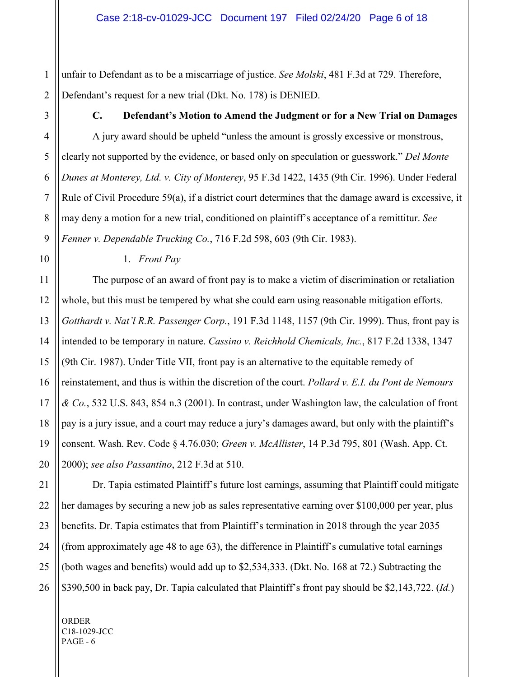1 2 unfair to Defendant as to be a miscarriage of justice. *See Molski*, 481 F.3d at 729. Therefore, Defendant's request for a new trial (Dkt. No. 178) is DENIED.

3

4

5

6

7

8

9

10

#### **C. Defendant's Motion to Amend the Judgment or for a New Trial on Damages**

A jury award should be upheld "unless the amount is grossly excessive or monstrous, clearly not supported by the evidence, or based only on speculation or guesswork." *Del Monte Dunes at Monterey, Ltd. v. City of Monterey*, 95 F.3d 1422, 1435 (9th Cir. 1996). Under Federal Rule of Civil Procedure 59(a), if a district court determines that the damage award is excessive, it may deny a motion for a new trial, conditioned on plaintiff's acceptance of a remittitur. *See Fenner v. Dependable Trucking Co.*, 716 F.2d 598, 603 (9th Cir. 1983).

18

19

20

21

22

23

24

25

1. *Front Pay*

The purpose of an award of front pay is to make a victim of discrimination or retaliation whole, but this must be tempered by what she could earn using reasonable mitigation efforts. *Gotthardt v. Nat'l R.R. Passenger Corp.*, 191 F.3d 1148, 1157 (9th Cir. 1999). Thus, front pay is intended to be temporary in nature. *Cassino v. Reichhold Chemicals, Inc.*, 817 F.2d 1338, 1347 (9th Cir. 1987). Under Title VII, front pay is an alternative to the equitable remedy of reinstatement, and thus is within the discretion of the court. *Pollard v. E.I. du Pont de Nemours & Co.*, 532 U.S. 843, 854 n.3 (2001). In contrast, under Washington law, the calculation of front pay is a jury issue, and a court may reduce a jury's damages award, but only with the plaintiff's consent. Wash. Rev. Code § 4.76.030; *Green v. McAllister*, 14 P.3d 795, 801 (Wash. App. Ct. 2000); *see also Passantino*, 212 F.3d at 510.

26 Dr. Tapia estimated Plaintiff's future lost earnings, assuming that Plaintiff could mitigate her damages by securing a new job as sales representative earning over \$100,000 per year, plus benefits. Dr. Tapia estimates that from Plaintiff's termination in 2018 through the year 2035 (from approximately age 48 to age 63), the difference in Plaintiff's cumulative total earnings (both wages and benefits) would add up to \$2,534,333. (Dkt. No. 168 at 72.) Subtracting the \$390,500 in back pay, Dr. Tapia calculated that Plaintiff's front pay should be \$2,143,722. (*Id.*)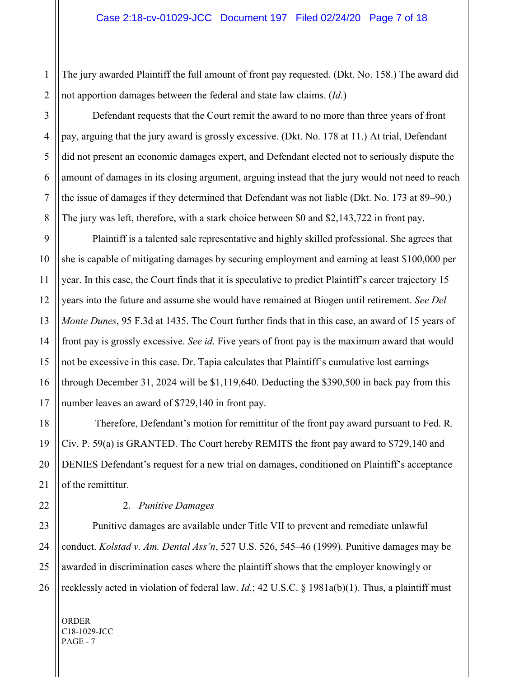The jury awarded Plaintiff the full amount of front pay requested. (Dkt. No. 158.) The award did not apportion damages between the federal and state law claims. (*Id.*)

Defendant requests that the Court remit the award to no more than three years of front pay, arguing that the jury award is grossly excessive. (Dkt. No. 178 at 11.) At trial, Defendant did not present an economic damages expert, and Defendant elected not to seriously dispute the amount of damages in its closing argument, arguing instead that the jury would not need to reach the issue of damages if they determined that Defendant was not liable (Dkt. No. 173 at 89–90.) The jury was left, therefore, with a stark choice between \$0 and \$2,143,722 in front pay.

Plaintiff is a talented sale representative and highly skilled professional. She agrees that she is capable of mitigating damages by securing employment and earning at least \$100,000 per year. In this case, the Court finds that it is speculative to predict Plaintiff's career trajectory 15 years into the future and assume she would have remained at Biogen until retirement. *See Del Monte Dunes*, 95 F.3d at 1435. The Court further finds that in this case, an award of 15 years of front pay is grossly excessive. *See id*. Five years of front pay is the maximum award that would not be excessive in this case. Dr. Tapia calculates that Plaintiff's cumulative lost earnings through December 31, 2024 will be \$1,119,640. Deducting the \$390,500 in back pay from this number leaves an award of \$729,140 in front pay.

Therefore, Defendant's motion for remittitur of the front pay award pursuant to Fed. R. Civ. P. 59(a) is GRANTED. The Court hereby REMITS the front pay award to \$729,140 and DENIES Defendant's request for a new trial on damages, conditioned on Plaintiff's acceptance of the remittitur.

#### 2. *Punitive Damages*

Punitive damages are available under Title VII to prevent and remediate unlawful conduct. *Kolstad v. Am. Dental Ass'n*, 527 U.S. 526, 545–46 (1999). Punitive damages may be awarded in discrimination cases where the plaintiff shows that the employer knowingly or recklessly acted in violation of federal law. *Id.*; 42 U.S.C. § 1981a(b)(1). Thus, a plaintiff must

ORDER C18-1029-JCC PAGE - 7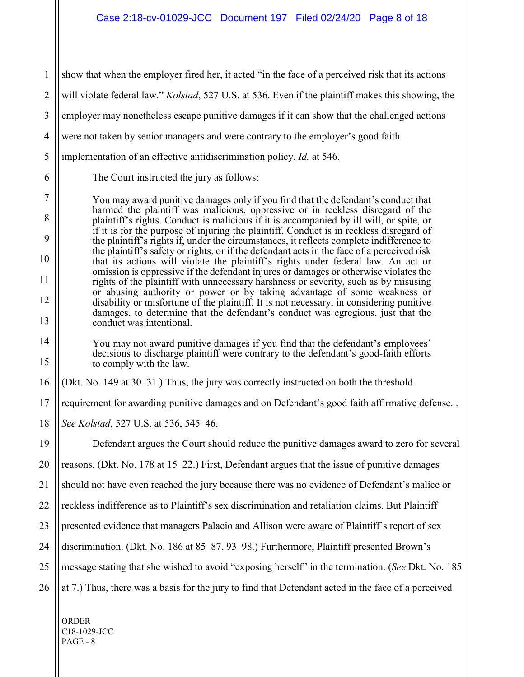1 2 3 4 5 6 7 8 9 10 11 12 13 14 15 16 17 18 19 20 21 22 23 24 25 26 show that when the employer fired her, it acted "in the face of a perceived risk that its actions will violate federal law." *Kolstad*, 527 U.S. at 536. Even if the plaintiff makes this showing, the employer may nonetheless escape punitive damages if it can show that the challenged actions were not taken by senior managers and were contrary to the employer's good faith implementation of an effective antidiscrimination policy. *Id.* at 546. The Court instructed the jury as follows: You may award punitive damages only if you find that the defendant's conduct that harmed the plaintiff was malicious, oppressive or in reckless disregard of the plaintiff's rights. Conduct is malicious if it is accompanied by ill will, or spite, or if it is for the purpose of injuring the plaintiff. Conduct is in reckless disregard of the plaintiff's rights if, under the circumstances, it reflects complete indifference to the plaintiff's safety or rights, or if the defendant acts in the face of a perceived risk that its actions will violate the plaintiff's rights under federal law. An act or omission is oppressive if the defendant injures or damages or otherwise violates the rights of the plaintiff with unnecessary harshness or severity, such as by misusing or abusing authority or power or by taking advantage of some weakness or disability or misfortune of the plaintiff. It is not necessary, in considering punitive damages, to determine that the defendant's conduct was egregious, just that the conduct was intentional. You may not award punitive damages if you find that the defendant's employees' decisions to discharge plaintiff were contrary to the defendant's good-faith efforts to comply with the law. (Dkt. No. 149 at 30–31.) Thus, the jury was correctly instructed on both the threshold requirement for awarding punitive damages and on Defendant's good faith affirmative defense. . *See Kolstad*, 527 U.S. at 536, 545–46. Defendant argues the Court should reduce the punitive damages award to zero for several reasons. (Dkt. No. 178 at 15–22.) First, Defendant argues that the issue of punitive damages should not have even reached the jury because there was no evidence of Defendant's malice or reckless indifference as to Plaintiff's sex discrimination and retaliation claims. But Plaintiff presented evidence that managers Palacio and Allison were aware of Plaintiff's report of sex discrimination. (Dkt. No. 186 at 85–87, 93–98.) Furthermore, Plaintiff presented Brown's message stating that she wished to avoid "exposing herself" in the termination. (*See* Dkt. No. 185 at 7.) Thus, there was a basis for the jury to find that Defendant acted in the face of a perceived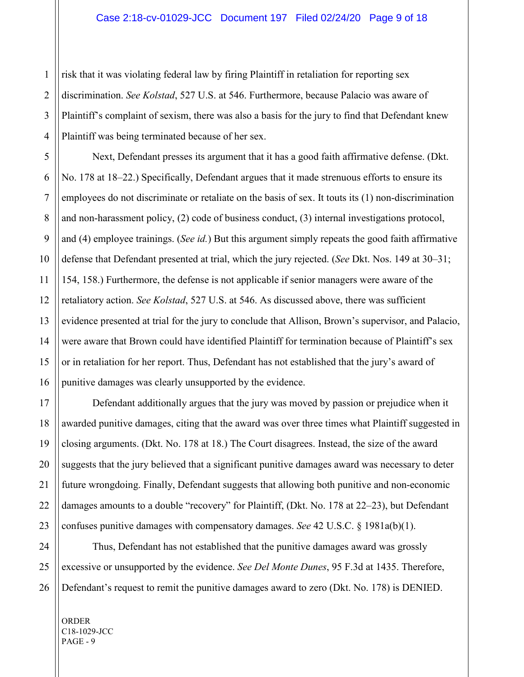1 risk that it was violating federal law by firing Plaintiff in retaliation for reporting sex discrimination. *See Kolstad*, 527 U.S. at 546. Furthermore, because Palacio was aware of Plaintiff's complaint of sexism, there was also a basis for the jury to find that Defendant knew Plaintiff was being terminated because of her sex.

Next, Defendant presses its argument that it has a good faith affirmative defense. (Dkt. No. 178 at 18–22.) Specifically, Defendant argues that it made strenuous efforts to ensure its employees do not discriminate or retaliate on the basis of sex. It touts its (1) non-discrimination and non-harassment policy, (2) code of business conduct, (3) internal investigations protocol, and (4) employee trainings. (*See id.*) But this argument simply repeats the good faith affirmative defense that Defendant presented at trial, which the jury rejected. (*See* Dkt. Nos. 149 at 30–31; 154, 158.) Furthermore, the defense is not applicable if senior managers were aware of the retaliatory action. *See Kolstad*, 527 U.S. at 546. As discussed above, there was sufficient evidence presented at trial for the jury to conclude that Allison, Brown's supervisor, and Palacio, were aware that Brown could have identified Plaintiff for termination because of Plaintiff's sex or in retaliation for her report. Thus, Defendant has not established that the jury's award of punitive damages was clearly unsupported by the evidence.

Defendant additionally argues that the jury was moved by passion or prejudice when it awarded punitive damages, citing that the award was over three times what Plaintiff suggested in closing arguments. (Dkt. No. 178 at 18.) The Court disagrees. Instead, the size of the award suggests that the jury believed that a significant punitive damages award was necessary to deter future wrongdoing. Finally, Defendant suggests that allowing both punitive and non-economic damages amounts to a double "recovery" for Plaintiff, (Dkt. No. 178 at 22–23), but Defendant confuses punitive damages with compensatory damages. *See* 42 U.S.C. § 1981a(b)(1).

Thus, Defendant has not established that the punitive damages award was grossly excessive or unsupported by the evidence. *See Del Monte Dunes*, 95 F.3d at 1435. Therefore, Defendant's request to remit the punitive damages award to zero (Dkt. No. 178) is DENIED.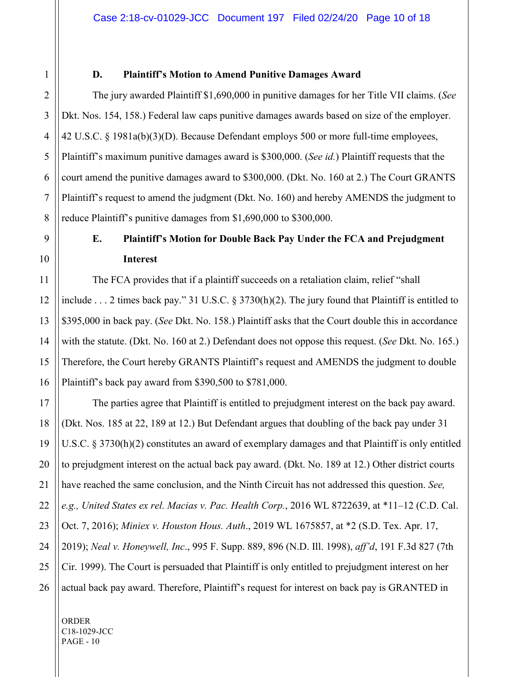#### **D. Plaintiff's Motion to Amend Punitive Damages Award**

The jury awarded Plaintiff \$1,690,000 in punitive damages for her Title VII claims. (*See*  Dkt. Nos. 154, 158.) Federal law caps punitive damages awards based on size of the employer. 42 U.S.C. § 1981a(b)(3)(D). Because Defendant employs 500 or more full-time employees, Plaintiff's maximum punitive damages award is \$300,000. (*See id.*) Plaintiff requests that the court amend the punitive damages award to \$300,000. (Dkt. No. 160 at 2.) The Court GRANTS Plaintiff's request to amend the judgment (Dkt. No. 160) and hereby AMENDS the judgment to reduce Plaintiff's punitive damages from \$1,690,000 to \$300,000.

# **E. Plaintiff's Motion for Double Back Pay Under the FCA and Prejudgment Interest**

The FCA provides that if a plaintiff succeeds on a retaliation claim, relief "shall include . . . 2 times back pay." 31 U.S.C. § 3730(h)(2). The jury found that Plaintiff is entitled to \$395,000 in back pay. (*See* Dkt. No. 158.) Plaintiff asks that the Court double this in accordance with the statute. (Dkt. No. 160 at 2.) Defendant does not oppose this request. (*See* Dkt. No. 165.) Therefore, the Court hereby GRANTS Plaintiff's request and AMENDS the judgment to double Plaintiff's back pay award from \$390,500 to \$781,000.

The parties agree that Plaintiff is entitled to prejudgment interest on the back pay award. (Dkt. Nos. 185 at 22, 189 at 12.) But Defendant argues that doubling of the back pay under 31 U.S.C. § 3730(h)(2) constitutes an award of exemplary damages and that Plaintiff is only entitled to prejudgment interest on the actual back pay award. (Dkt. No. 189 at 12.) Other district courts have reached the same conclusion, and the Ninth Circuit has not addressed this question. *See, e.g., United States ex rel. Macias v. Pac. Health Corp.*, 2016 WL 8722639, at \*11–12 (C.D. Cal. Oct. 7, 2016); *Miniex v. Houston Hous. Auth*., 2019 WL 1675857, at \*2 (S.D. Tex. Apr. 17, 2019); *Neal v. Honeywell, Inc*., 995 F. Supp. 889, 896 (N.D. Ill. 1998), *aff'd*, 191 F.3d 827 (7th Cir. 1999). The Court is persuaded that Plaintiff is only entitled to prejudgment interest on her actual back pay award. Therefore, Plaintiff's request for interest on back pay is GRANTED in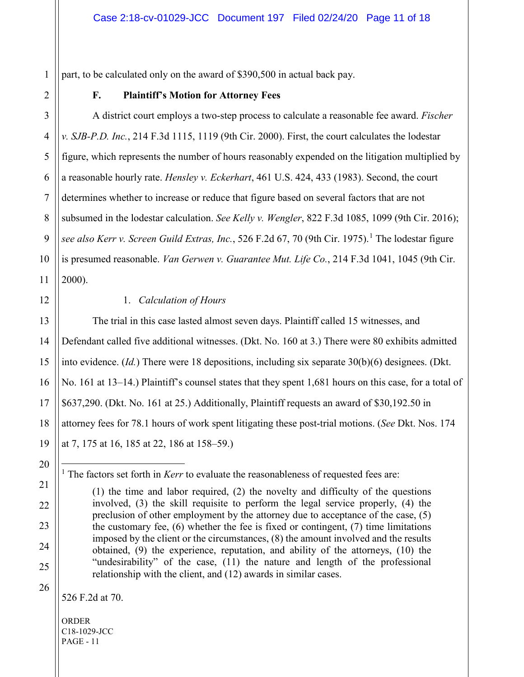part, to be calculated only on the award of \$390,500 in actual back pay.

1

### **F. Plaintiff's Motion for Attorney Fees**

A district court employs a two-step process to calculate a reasonable fee award. *Fischer v. SJB-P.D. Inc.*, 214 F.3d 1115, 1119 (9th Cir. 2000). First, the court calculates the lodestar figure, which represents the number of hours reasonably expended on the litigation multiplied by a reasonable hourly rate. *Hensley v. Eckerhart*, 461 U.S. 424, 433 (1983). Second, the court determines whether to increase or reduce that figure based on several factors that are not subsumed in the lodestar calculation. *See Kelly v. Wengler*, 822 F.3d 1085, 1099 (9th Cir. 2016); *see also Kerr v. Screen Guild Extras, Inc.*, 526 F.2d 67, 70 (9th Cir. 1975).<sup>1</sup> The lodestar figure is presumed reasonable. *Van Gerwen v. Guarantee Mut. Life Co.*, 214 F.3d 1041, 1045 (9th Cir. 2000).

22

23

24

25

26

#### 1. *Calculation of Hours*

The trial in this case lasted almost seven days. Plaintiff called 15 witnesses, and Defendant called five additional witnesses. (Dkt. No. 160 at 3.) There were 80 exhibits admitted into evidence. (*Id.*) There were 18 depositions, including six separate 30(b)(6) designees. (Dkt. No. 161 at 13–14.) Plaintiff's counsel states that they spent 1,681 hours on this case, for a total of \$637,290. (Dkt. No. 161 at 25.) Additionally, Plaintiff requests an award of \$30,192.50 in attorney fees for 78.1 hours of work spent litigating these post-trial motions. (*See* Dkt. Nos. 174 at 7, 175 at 16, 185 at 22, 186 at 158–59.)

<sup>&</sup>lt;sup>1</sup> The factors set forth in *Kerr* to evaluate the reasonableness of requested fees are:

<sup>(1)</sup> the time and labor required, (2) the novelty and difficulty of the questions involved, (3) the skill requisite to perform the legal service properly, (4) the preclusion of other employment by the attorney due to acceptance of the case, (5) the customary fee, (6) whether the fee is fixed or contingent, (7) time limitations imposed by the client or the circumstances, (8) the amount involved and the results obtained, (9) the experience, reputation, and ability of the attorneys, (10) the "undesirability" of the case, (11) the nature and length of the professional relationship with the client, and (12) awards in similar cases.

<sup>526</sup> F.2d at 70.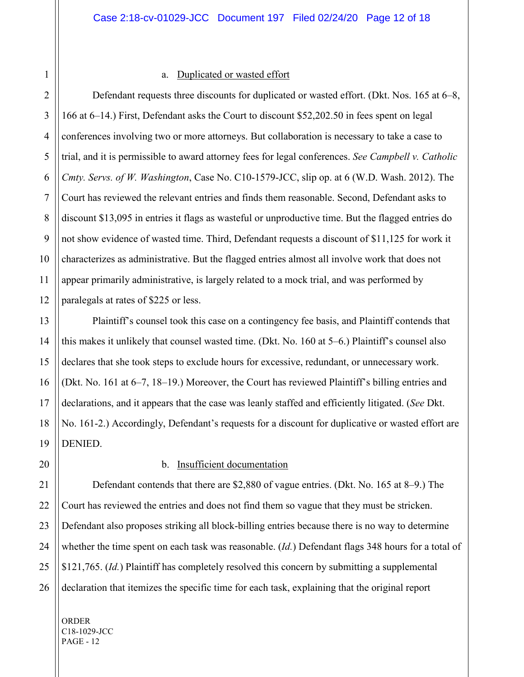#### a. Duplicated or wasted effort

Defendant requests three discounts for duplicated or wasted effort. (Dkt. Nos. 165 at 6–8, 166 at 6–14.) First, Defendant asks the Court to discount \$52,202.50 in fees spent on legal conferences involving two or more attorneys. But collaboration is necessary to take a case to trial, and it is permissible to award attorney fees for legal conferences. *See Campbell v. Catholic Cmty. Servs. of W. Washington*, Case No. C10-1579-JCC, slip op. at 6 (W.D. Wash. 2012). The Court has reviewed the relevant entries and finds them reasonable. Second, Defendant asks to discount \$13,095 in entries it flags as wasteful or unproductive time. But the flagged entries do not show evidence of wasted time. Third, Defendant requests a discount of \$11,125 for work it characterizes as administrative. But the flagged entries almost all involve work that does not appear primarily administrative, is largely related to a mock trial, and was performed by paralegals at rates of \$225 or less.

Plaintiff's counsel took this case on a contingency fee basis, and Plaintiff contends that this makes it unlikely that counsel wasted time. (Dkt. No. 160 at 5–6.) Plaintiff's counsel also declares that she took steps to exclude hours for excessive, redundant, or unnecessary work. (Dkt. No. 161 at 6–7, 18–19.) Moreover, the Court has reviewed Plaintiff's billing entries and declarations, and it appears that the case was leanly staffed and efficiently litigated. (*See* Dkt. No. 161-2.) Accordingly, Defendant's requests for a discount for duplicative or wasted effort are DENIED.

#### b. Insufficient documentation

Defendant contends that there are \$2,880 of vague entries. (Dkt. No. 165 at 8–9.) The Court has reviewed the entries and does not find them so vague that they must be stricken. Defendant also proposes striking all block-billing entries because there is no way to determine whether the time spent on each task was reasonable. (*Id.*) Defendant flags 348 hours for a total of \$121,765. (*Id.*) Plaintiff has completely resolved this concern by submitting a supplemental declaration that itemizes the specific time for each task, explaining that the original report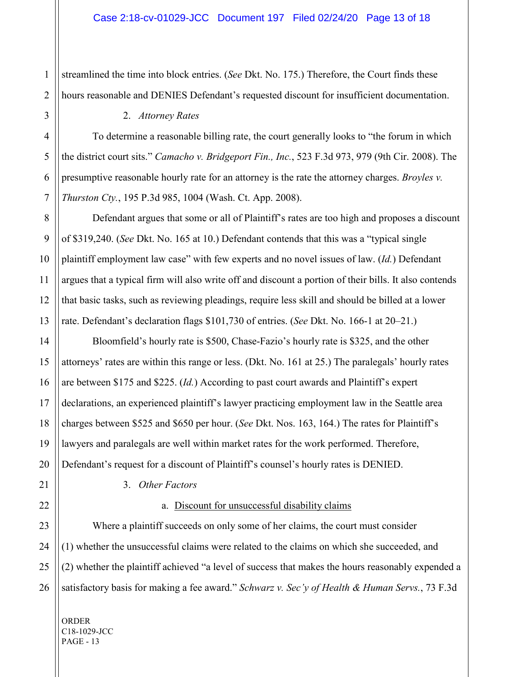1 streamlined the time into block entries. (*See* Dkt. No. 175.) Therefore, the Court finds these hours reasonable and DENIES Defendant's requested discount for insufficient documentation.

#### 2. *Attorney Rates*

To determine a reasonable billing rate, the court generally looks to "the forum in which the district court sits." *Camacho v. Bridgeport Fin., Inc.*, 523 F.3d 973, 979 (9th Cir. 2008). The presumptive reasonable hourly rate for an attorney is the rate the attorney charges. *Broyles v. Thurston Cty.*, 195 P.3d 985, 1004 (Wash. Ct. App. 2008).

Defendant argues that some or all of Plaintiff's rates are too high and proposes a discount of \$319,240. (*See* Dkt. No. 165 at 10.) Defendant contends that this was a "typical single plaintiff employment law case" with few experts and no novel issues of law. (*Id.*) Defendant argues that a typical firm will also write off and discount a portion of their bills. It also contends that basic tasks, such as reviewing pleadings, require less skill and should be billed at a lower rate. Defendant's declaration flags \$101,730 of entries. (*See* Dkt. No. 166-1 at 20–21.)

Bloomfield's hourly rate is \$500, Chase-Fazio's hourly rate is \$325, and the other attorneys' rates are within this range or less. (Dkt. No. 161 at 25.) The paralegals' hourly rates are between \$175 and \$225. (*Id.*) According to past court awards and Plaintiff's expert declarations, an experienced plaintiff's lawyer practicing employment law in the Seattle area charges between \$525 and \$650 per hour. (*See* Dkt. Nos. 163, 164.) The rates for Plaintiff's lawyers and paralegals are well within market rates for the work performed. Therefore, Defendant's request for a discount of Plaintiff's counsel's hourly rates is DENIED.

26

3. *Other Factors*

# a. Discount for unsuccessful disability claims

Where a plaintiff succeeds on only some of her claims, the court must consider (1) whether the unsuccessful claims were related to the claims on which she succeeded, and (2) whether the plaintiff achieved "a level of success that makes the hours reasonably expended a satisfactory basis for making a fee award." *Schwarz v. Sec'y of Health & Human Servs.*, 73 F.3d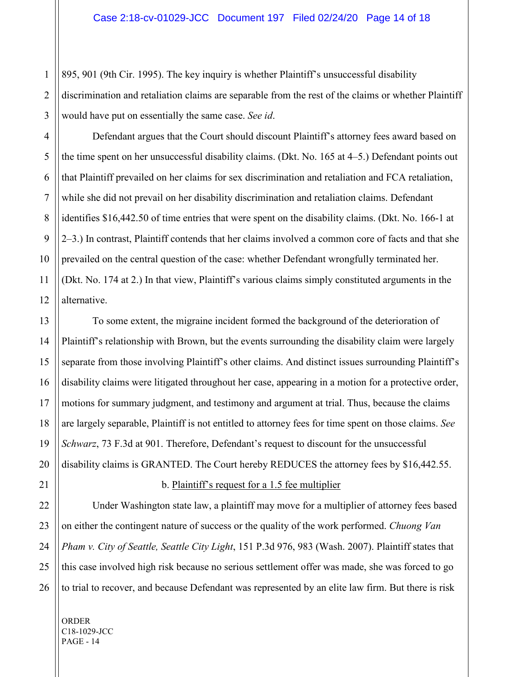895, 901 (9th Cir. 1995). The key inquiry is whether Plaintiff's unsuccessful disability discrimination and retaliation claims are separable from the rest of the claims or whether Plaintiff would have put on essentially the same case. *See id*.

Defendant argues that the Court should discount Plaintiff's attorney fees award based on the time spent on her unsuccessful disability claims. (Dkt. No. 165 at 4–5.) Defendant points out that Plaintiff prevailed on her claims for sex discrimination and retaliation and FCA retaliation, while she did not prevail on her disability discrimination and retaliation claims. Defendant identifies \$16,442.50 of time entries that were spent on the disability claims. (Dkt. No. 166-1 at 2–3.) In contrast, Plaintiff contends that her claims involved a common core of facts and that she prevailed on the central question of the case: whether Defendant wrongfully terminated her. (Dkt. No. 174 at 2.) In that view, Plaintiff's various claims simply constituted arguments in the alternative.

To some extent, the migraine incident formed the background of the deterioration of Plaintiff's relationship with Brown, but the events surrounding the disability claim were largely separate from those involving Plaintiff's other claims. And distinct issues surrounding Plaintiff's disability claims were litigated throughout her case, appearing in a motion for a protective order, motions for summary judgment, and testimony and argument at trial. Thus, because the claims are largely separable, Plaintiff is not entitled to attorney fees for time spent on those claims. *See Schwarz*, 73 F.3d at 901. Therefore, Defendant's request to discount for the unsuccessful disability claims is GRANTED. The Court hereby REDUCES the attorney fees by \$16,442.55.

#### b. Plaintiff's request for a 1.5 fee multiplier

Under Washington state law, a plaintiff may move for a multiplier of attorney fees based on either the contingent nature of success or the quality of the work performed. *Chuong Van Pham v. City of Seattle, Seattle City Light*, 151 P.3d 976, 983 (Wash. 2007). Plaintiff states that this case involved high risk because no serious settlement offer was made, she was forced to go to trial to recover, and because Defendant was represented by an elite law firm. But there is risk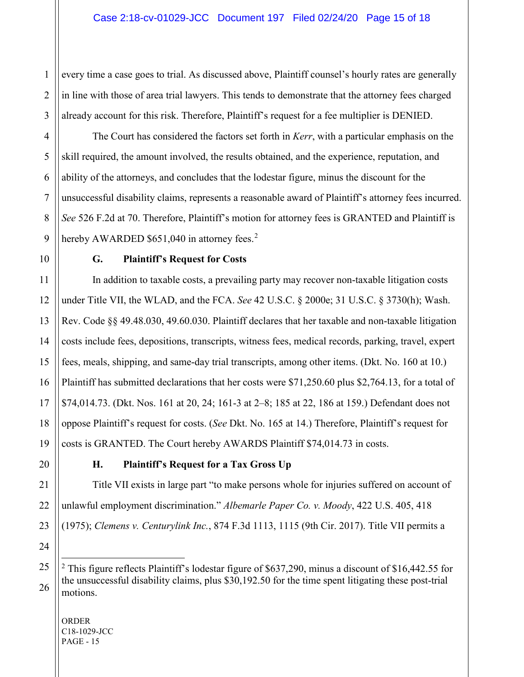every time a case goes to trial. As discussed above, Plaintiff counsel's hourly rates are generally in line with those of area trial lawyers. This tends to demonstrate that the attorney fees charged already account for this risk. Therefore, Plaintiff's request for a fee multiplier is DENIED.

The Court has considered the factors set forth in *Kerr*, with a particular emphasis on the skill required, the amount involved, the results obtained, and the experience, reputation, and ability of the attorneys, and concludes that the lodestar figure, minus the discount for the unsuccessful disability claims, represents a reasonable award of Plaintiff's attorney fees incurred. *See* 526 F.2d at 70. Therefore, Plaintiff's motion for attorney fees is GRANTED and Plaintiff is hereby AWARDED  $$651,040$  in attorney fees.<sup>2</sup>

# **G. Plaintiff's Request for Costs**

In addition to taxable costs, a prevailing party may recover non-taxable litigation costs under Title VII, the WLAD, and the FCA. *See* 42 U.S.C. § 2000e; 31 U.S.C. § 3730(h); Wash. Rev. Code §§ 49.48.030, 49.60.030. Plaintiff declares that her taxable and non-taxable litigation costs include fees, depositions, transcripts, witness fees, medical records, parking, travel, expert fees, meals, shipping, and same-day trial transcripts, among other items. (Dkt. No. 160 at 10.) Plaintiff has submitted declarations that her costs were \$71,250.60 plus \$2,764.13, for a total of \$74,014.73. (Dkt. Nos. 161 at 20, 24; 161-3 at 2–8; 185 at 22, 186 at 159.) Defendant does not oppose Plaintiff's request for costs. (*See* Dkt. No. 165 at 14.) Therefore, Plaintiff's request for costs is GRANTED. The Court hereby AWARDS Plaintiff \$74,014.73 in costs.

# **H. Plaintiff's Request for a Tax Gross Up**

Title VII exists in large part "to make persons whole for injuries suffered on account of unlawful employment discrimination." *Albemarle Paper Co. v. Moody*, 422 U.S. 405, 418 (1975); *Clemens v. Centurylink Inc.*, 874 F.3d 1113, 1115 (9th Cir. 2017). Title VII permits a

ORDER C18-1029-JCC PAGE - 15

<sup>&</sup>lt;sup>2</sup> This figure reflects Plaintiff's lodestar figure of \$637,290, minus a discount of \$16,442.55 for the unsuccessful disability claims, plus \$30,192.50 for the time spent litigating these post-trial motions.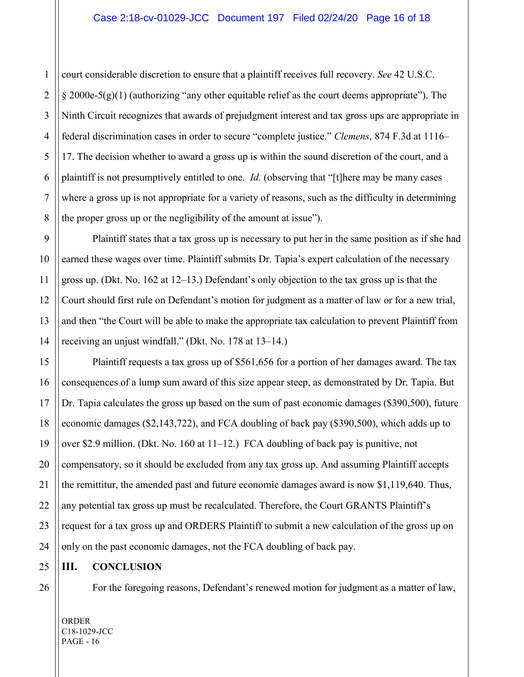court considerable discretion to ensure that a plaintiff receives full recovery. *See* 42 U.S.C.  $\S 2000e-5(g)(1)$  (authorizing "any other equitable relief as the court deems appropriate"). The Ninth Circuit recognizes that awards of prejudgment interest and tax gross ups are appropriate in federal discrimination cases in order to secure "complete justice." *Clemens*, 874 F.3d at 1116– 17. The decision whether to award a gross up is within the sound discretion of the court, and a plaintiff is not presumptively entitled to one. *Id.* (observing that "[t]here may be many cases where a gross up is not appropriate for a variety of reasons, such as the difficulty in determining the proper gross up or the negligibility of the amount at issue").

Plaintiff states that a tax gross up is necessary to put her in the same position as if she had earned these wages over time. Plaintiff submits Dr. Tapia's expert calculation of the necessary gross up. (Dkt. No. 162 at 12–13.) Defendant's only objection to the tax gross up is that the Court should first rule on Defendant's motion for judgment as a matter of law or for a new trial, and then "the Court will be able to make the appropriate tax calculation to prevent Plaintiff from receiving an unjust windfall." (Dkt. No. 178 at 13–14.)

Plaintiff requests a tax gross up of \$561,656 for a portion of her damages award. The tax consequences of a lump sum award of this size appear steep, as demonstrated by Dr. Tapia. But Dr. Tapia calculates the gross up based on the sum of past economic damages (\$390,500), future economic damages (\$2,143,722), and FCA doubling of back pay (\$390,500), which adds up to over \$2.9 million. (Dkt. No. 160 at 11–12.) FCA doubling of back pay is punitive, not compensatory, so it should be excluded from any tax gross up. And assuming Plaintiff accepts the remittitur, the amended past and future economic damages award is now \$1,119,640. Thus, any potential tax gross up must be recalculated. Therefore, the Court GRANTS Plaintiff's request for a tax gross up and ORDERS Plaintiff to submit a new calculation of the gross up on only on the past economic damages, not the FCA doubling of back pay.

# **III. CONCLUSION**

For the foregoing reasons, Defendant's renewed motion for judgment as a matter of law,

ORDER C18-1029-JCC PAGE - 16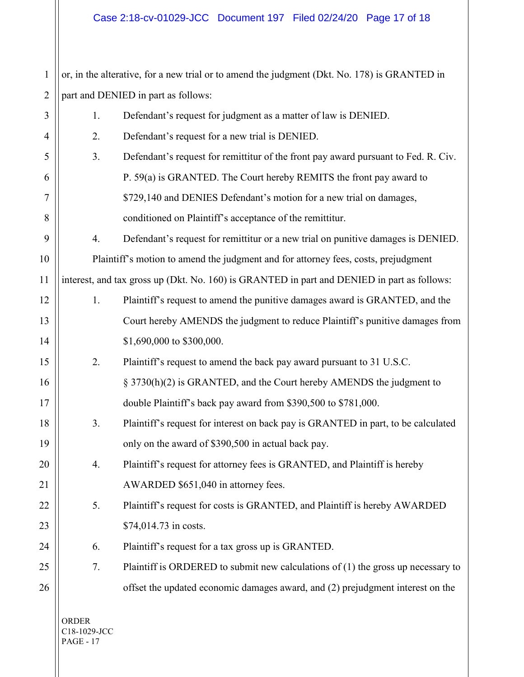1 2 3 4 5 or, in the alterative, for a new trial or to amend the judgment (Dkt. No. 178) is GRANTED in part and DENIED in part as follows: 1. Defendant's request for judgment as a matter of law is DENIED. 2. Defendant's request for a new trial is DENIED.

3. Defendant's request for remittitur of the front pay award pursuant to Fed. R. Civ. P. 59(a) is GRANTED. The Court hereby REMITS the front pay award to \$729,140 and DENIES Defendant's motion for a new trial on damages, conditioned on Plaintiff's acceptance of the remittitur.

4. Defendant's request for remittitur or a new trial on punitive damages is DENIED. Plaintiff's motion to amend the judgment and for attorney fees, costs, prejudgment interest, and tax gross up (Dkt. No. 160) is GRANTED in part and DENIED in part as follows:

- 1. Plaintiff's request to amend the punitive damages award is GRANTED, and the Court hereby AMENDS the judgment to reduce Plaintiff's punitive damages from \$1,690,000 to \$300,000.
- 2. Plaintiff's request to amend the back pay award pursuant to 31 U.S.C. § 3730(h)(2) is GRANTED, and the Court hereby AMENDS the judgment to double Plaintiff's back pay award from \$390,500 to \$781,000.
	- 3. Plaintiff's request for interest on back pay is GRANTED in part, to be calculated only on the award of \$390,500 in actual back pay.
- 4. Plaintiff's request for attorney fees is GRANTED, and Plaintiff is hereby AWARDED \$651,040 in attorney fees.
	- 5. Plaintiff's request for costs is GRANTED, and Plaintiff is hereby AWARDED \$74,014.73 in costs.
		- 6. Plaintiff's request for a tax gross up is GRANTED.
		- 7. Plaintiff is ORDERED to submit new calculations of (1) the gross up necessary to offset the updated economic damages award, and (2) prejudgment interest on the

ORDER C18-1029-JCC PAGE - 17

6

7

8

9

10

11

12

13

14

15

16

17

18

19

20

21

22

23

24

25